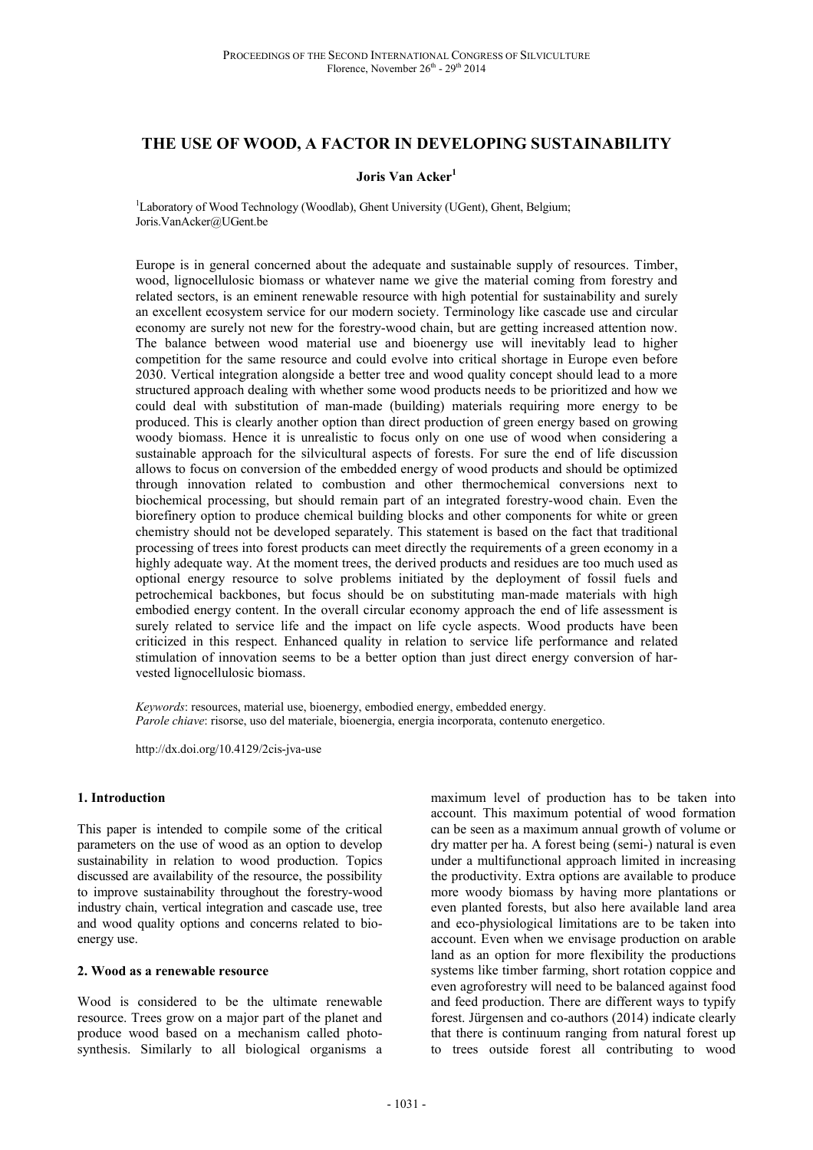# **THE USE OF WOOD, A FACTOR IN DEVELOPING SUSTAINABILITY**

#### **Joris Van Acker<sup>1</sup>**

<sup>1</sup>Laboratory of Wood Technology (Woodlab), Ghent University (UGent), Ghent, Belgium; Joris.VanAcker@UGent.be

Europe is in general concerned about the adequate and sustainable supply of resources. Timber, wood, lignocellulosic biomass or whatever name we give the material coming from forestry and related sectors, is an eminent renewable resource with high potential for sustainability and surely an excellent ecosystem service for our modern society. Terminology like cascade use and circular economy are surely not new for the forestry-wood chain, but are getting increased attention now. The balance between wood material use and bioenergy use will inevitably lead to higher competition for the same resource and could evolve into critical shortage in Europe even before 2030. Vertical integration alongside a better tree and wood quality concept should lead to a more structured approach dealing with whether some wood products needs to be prioritized and how we could deal with substitution of man-made (building) materials requiring more energy to be produced. This is clearly another option than direct production of green energy based on growing woody biomass. Hence it is unrealistic to focus only on one use of wood when considering a sustainable approach for the silvicultural aspects of forests. For sure the end of life discussion allows to focus on conversion of the embedded energy of wood products and should be optimized through innovation related to combustion and other thermochemical conversions next to biochemical processing, but should remain part of an integrated forestry-wood chain. Even the biorefinery option to produce chemical building blocks and other components for white or green chemistry should not be developed separately. This statement is based on the fact that traditional processing of trees into forest products can meet directly the requirements of a green economy in a highly adequate way. At the moment trees, the derived products and residues are too much used as optional energy resource to solve problems initiated by the deployment of fossil fuels and petrochemical backbones, but focus should be on substituting man-made materials with high embodied energy content. In the overall circular economy approach the end of life assessment is surely related to service life and the impact on life cycle aspects. Wood products have been criticized in this respect. Enhanced quality in relation to service life performance and related stimulation of innovation seems to be a better option than just direct energy conversion of harvested lignocellulosic biomass.

*Keywords*: resources, material use, bioenergy, embodied energy, embedded energy. *Parole chiave*: risorse, uso del materiale, bioenergia, energia incorporata, contenuto energetico.

http://dx.doi.org/10.4129/2cis-jva-use

#### **1. Introduction**

This paper is intended to compile some of the critical parameters on the use of wood as an option to develop sustainability in relation to wood production. Topics discussed are availability of the resource, the possibility to improve sustainability throughout the forestry-wood industry chain, vertical integration and cascade use, tree and wood quality options and concerns related to bioenergy use.

#### **2. Wood as a renewable resource**

Wood is considered to be the ultimate renewable resource. Trees grow on a major part of the planet and produce wood based on a mechanism called photosynthesis. Similarly to all biological organisms a

maximum level of production has to be taken into account. This maximum potential of wood formation can be seen as a maximum annual growth of volume or dry matter per ha. A forest being (semi-) natural is even under a multifunctional approach limited in increasing the productivity. Extra options are available to produce more woody biomass by having more plantations or even planted forests, but also here available land area and eco-physiological limitations are to be taken into account. Even when we envisage production on arable land as an option for more flexibility the productions systems like timber farming, short rotation coppice and even agroforestry will need to be balanced against food and feed production. There are different ways to typify forest. Jürgensen and co-authors (2014) indicate clearly that there is continuum ranging from natural forest up to trees outside forest all contributing to wood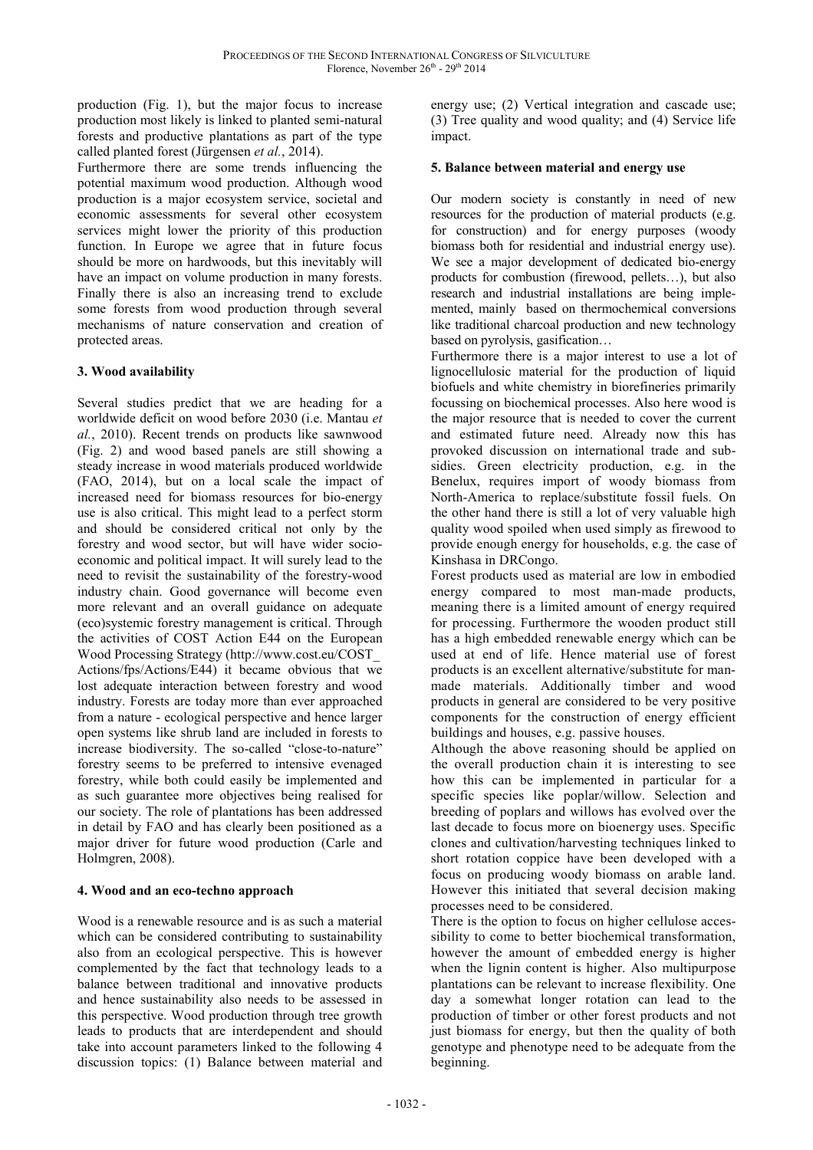production (Fig. 1), but the major focus to increase production most likely is linked to planted semi-natural forests and productive plantations as part of the type called planted forest (Jürgensen *et al.*, 2014).

Furthermore there are some trends influencing the potential maximum wood production. Although wood production is a major ecosystem service, societal and economic assessments for several other ecosystem services might lower the priority of this production function. In Europe we agree that in future focus should be more on hardwoods, but this inevitably will have an impact on volume production in many forests. Finally there is also an increasing trend to exclude some forests from wood production through several mechanisms of nature conservation and creation of protected areas.

# **3. Wood availability**

Several studies predict that we are heading for a worldwide deficit on wood before 2030 (i.e. Mantau *et al.*, 2010). Recent trends on products like sawnwood (Fig. 2) and wood based panels are still showing a steady increase in wood materials produced worldwide (FAO, 2014), but on a local scale the impact of increased need for biomass resources for bio-energy use is also critical. This might lead to a perfect storm and should be considered critical not only by the forestry and wood sector, but will have wider socioeconomic and political impact. It will surely lead to the need to revisit the sustainability of the forestry-wood industry chain. Good governance will become even more relevant and an overall guidance on adequate (eco)systemic forestry management is critical. Through the activities of COST Action E44 on the European Wood Processing Strategy (http://www.cost.eu/COST\_ Actions/fps/Actions/E44) it became obvious that we lost adequate interaction between forestry and wood industry. Forests are today more than ever approached from a nature - ecological perspective and hence larger open systems like shrub land are included in forests to increase biodiversity. The so-called "close-to-nature" forestry seems to be preferred to intensive evenaged forestry, while both could easily be implemented and as such guarantee more objectives being realised for our society. The role of plantations has been addressed in detail by FAO and has clearly been positioned as a major driver for future wood production (Carle and Holmgren, 2008).

# **4. Wood and an eco-techno approach**

Wood is a renewable resource and is as such a material which can be considered contributing to sustainability also from an ecological perspective. This is however complemented by the fact that technology leads to a balance between traditional and innovative products and hence sustainability also needs to be assessed in this perspective. Wood production through tree growth leads to products that are interdependent and should take into account parameters linked to the following 4 discussion topics: (1) Balance between material and

energy use; (2) Vertical integration and cascade use; (3) Tree quality and wood quality; and (4) Service life impact.

# **5. Balance between material and energy use**

Our modern society is constantly in need of new resources for the production of material products (e.g. for construction) and for energy purposes (woody biomass both for residential and industrial energy use). We see a major development of dedicated bio-energy products for combustion (firewood, pellets…), but also research and industrial installations are being implemented, mainly based on thermochemical conversions like traditional charcoal production and new technology based on pyrolysis, gasification…

Furthermore there is a major interest to use a lot of lignocellulosic material for the production of liquid biofuels and white chemistry in biorefineries primarily focussing on biochemical processes. Also here wood is the major resource that is needed to cover the current and estimated future need. Already now this has provoked discussion on international trade and subsidies. Green electricity production, e.g. in the Benelux, requires import of woody biomass from North-America to replace/substitute fossil fuels. On the other hand there is still a lot of very valuable high quality wood spoiled when used simply as firewood to provide enough energy for households, e.g. the case of Kinshasa in DRCongo.

Forest products used as material are low in embodied energy compared to most man-made products, meaning there is a limited amount of energy required for processing. Furthermore the wooden product still has a high embedded renewable energy which can be used at end of life. Hence material use of forest products is an excellent alternative/substitute for manmade materials. Additionally timber and wood products in general are considered to be very positive components for the construction of energy efficient buildings and houses, e.g. passive houses.

Although the above reasoning should be applied on the overall production chain it is interesting to see how this can be implemented in particular for a specific species like poplar/willow. Selection and breeding of poplars and willows has evolved over the last decade to focus more on bioenergy uses. Specific clones and cultivation/harvesting techniques linked to short rotation coppice have been developed with a focus on producing woody biomass on arable land. However this initiated that several decision making processes need to be considered.

There is the option to focus on higher cellulose accessibility to come to better biochemical transformation, however the amount of embedded energy is higher when the lignin content is higher. Also multipurpose plantations can be relevant to increase flexibility. One day a somewhat longer rotation can lead to the production of timber or other forest products and not just biomass for energy, but then the quality of both genotype and phenotype need to be adequate from the beginning.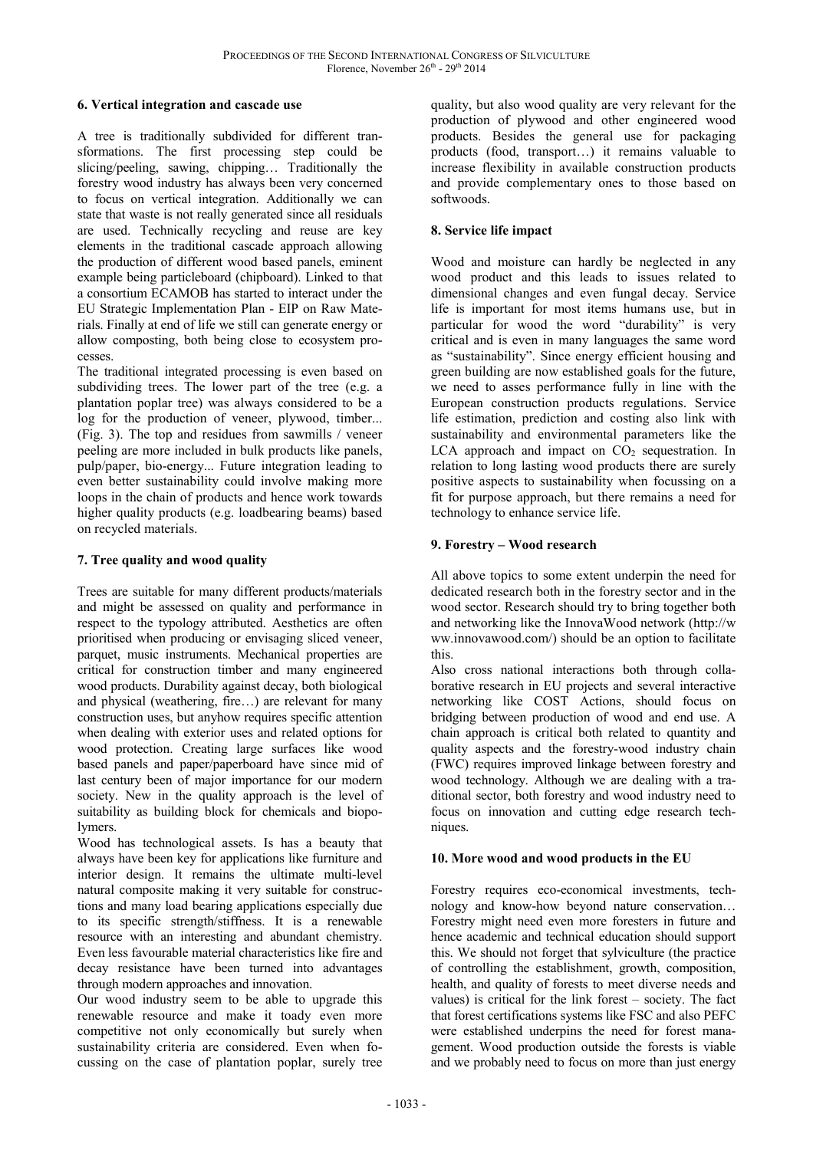### **6. Vertical integration and cascade use**

A tree is traditionally subdivided for different transformations. The first processing step could be slicing/peeling, sawing, chipping… Traditionally the forestry wood industry has always been very concerned to focus on vertical integration. Additionally we can state that waste is not really generated since all residuals are used. Technically recycling and reuse are key elements in the traditional cascade approach allowing the production of different wood based panels, eminent example being particleboard (chipboard). Linked to that a consortium ECAMOB has started to interact under the EU Strategic Implementation Plan - EIP on Raw Materials. Finally at end of life we still can generate energy or allow composting, both being close to ecosystem processes.

The traditional integrated processing is even based on subdividing trees. The lower part of the tree (e.g. a plantation poplar tree) was always considered to be a log for the production of veneer, plywood, timber... (Fig. 3). The top and residues from sawmills / veneer peeling are more included in bulk products like panels, pulp/paper, bio-energy... Future integration leading to even better sustainability could involve making more loops in the chain of products and hence work towards higher quality products (e.g. loadbearing beams) based on recycled materials.

# **7. Tree quality and wood quality**

Trees are suitable for many different products/materials and might be assessed on quality and performance in respect to the typology attributed. Aesthetics are often prioritised when producing or envisaging sliced veneer, parquet, music instruments. Mechanical properties are critical for construction timber and many engineered wood products. Durability against decay, both biological and physical (weathering, fire…) are relevant for many construction uses, but anyhow requires specific attention when dealing with exterior uses and related options for wood protection. Creating large surfaces like wood based panels and paper/paperboard have since mid of last century been of major importance for our modern society. New in the quality approach is the level of suitability as building block for chemicals and biopolymers.

Wood has technological assets. Is has a beauty that always have been key for applications like furniture and interior design. It remains the ultimate multi-level natural composite making it very suitable for constructions and many load bearing applications especially due to its specific strength/stiffness. It is a renewable resource with an interesting and abundant chemistry. Even less favourable material characteristics like fire and decay resistance have been turned into advantages through modern approaches and innovation.

Our wood industry seem to be able to upgrade this renewable resource and make it toady even more competitive not only economically but surely when sustainability criteria are considered. Even when focussing on the case of plantation poplar, surely tree

quality, but also wood quality are very relevant for the production of plywood and other engineered wood products. Besides the general use for packaging products (food, transport…) it remains valuable to increase flexibility in available construction products and provide complementary ones to those based on softwoods.

### **8. Service life impact**

Wood and moisture can hardly be neglected in any wood product and this leads to issues related to dimensional changes and even fungal decay. Service life is important for most items humans use, but in particular for wood the word "durability" is very critical and is even in many languages the same word as "sustainability". Since energy efficient housing and green building are now established goals for the future, we need to asses performance fully in line with the European construction products regulations. Service life estimation, prediction and costing also link with sustainability and environmental parameters like the LCA approach and impact on  $CO<sub>2</sub>$  sequestration. In relation to long lasting wood products there are surely positive aspects to sustainability when focussing on a fit for purpose approach, but there remains a need for technology to enhance service life.

### **9. Forestry – Wood research**

All above topics to some extent underpin the need for dedicated research both in the forestry sector and in the wood sector. Research should try to bring together both and networking like the InnovaWood network (http://w ww.innovawood.com/) should be an option to facilitate this.

Also cross national interactions both through collaborative research in EU projects and several interactive networking like COST Actions, should focus on bridging between production of wood and end use. A chain approach is critical both related to quantity and quality aspects and the forestry-wood industry chain (FWC) requires improved linkage between forestry and wood technology. Although we are dealing with a traditional sector, both forestry and wood industry need to focus on innovation and cutting edge research techniques.

# **10. More wood and wood products in the EU**

Forestry requires eco-economical investments, technology and know-how beyond nature conservation… Forestry might need even more foresters in future and hence academic and technical education should support this. We should not forget that sylviculture (the practice of controlling the establishment, growth, composition, health, and quality of forests to meet diverse needs and values) is critical for the link forest – society. The fact that forest certifications systems like FSC and also PEFC were established underpins the need for forest management. Wood production outside the forests is viable and we probably need to focus on more than just energy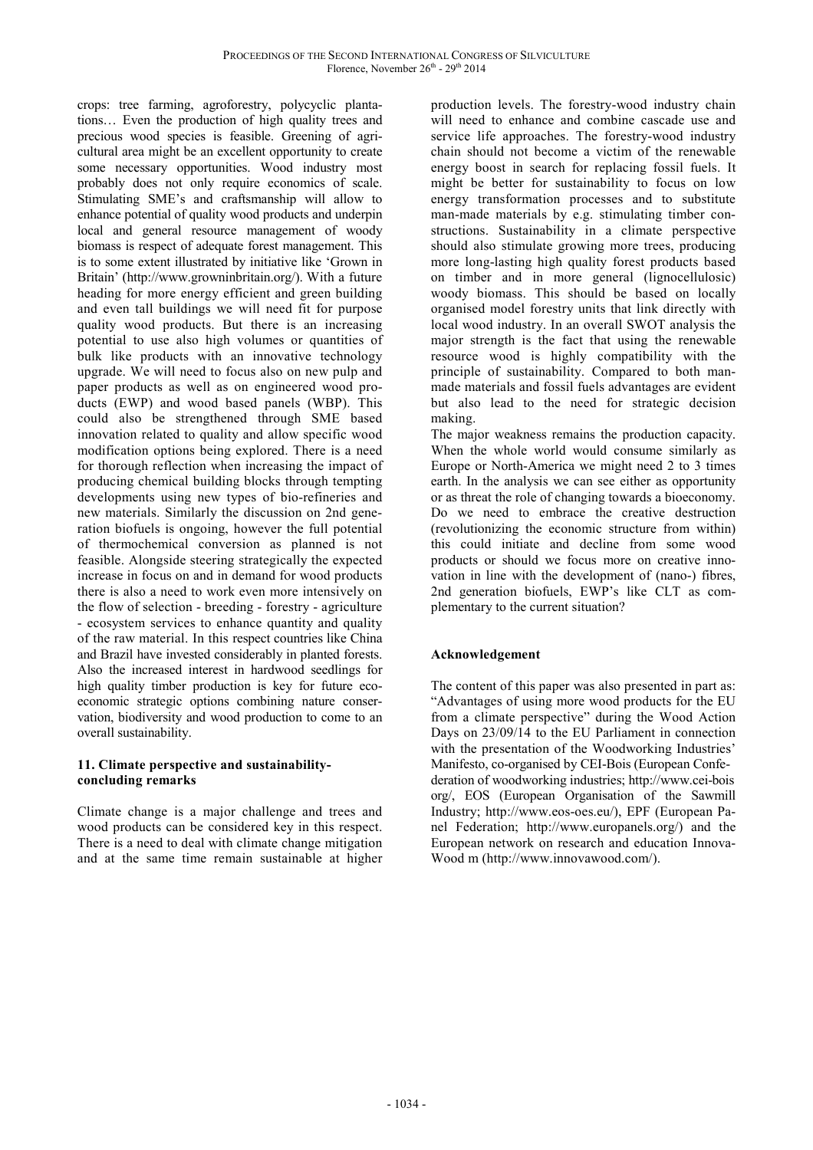crops: tree farming, agroforestry, polycyclic plantations… Even the production of high quality trees and precious wood species is feasible. Greening of agricultural area might be an excellent opportunity to create some necessary opportunities. Wood industry most probably does not only require economics of scale. Stimulating SME's and craftsmanship will allow to enhance potential of quality wood products and underpin local and general resource management of woody biomass is respect of adequate forest management. This is to some extent illustrated by initiative like 'Grown in Britain' (http://www.growninbritain.org/). With a future heading for more energy efficient and green building and even tall buildings we will need fit for purpose quality wood products. But there is an increasing potential to use also high volumes or quantities of bulk like products with an innovative technology upgrade. We will need to focus also on new pulp and paper products as well as on engineered wood products (EWP) and wood based panels (WBP). This could also be strengthened through SME based innovation related to quality and allow specific wood modification options being explored. There is a need for thorough reflection when increasing the impact of producing chemical building blocks through tempting developments using new types of bio-refineries and new materials. Similarly the discussion on 2nd generation biofuels is ongoing, however the full potential of thermochemical conversion as planned is not feasible. Alongside steering strategically the expected increase in focus on and in demand for wood products there is also a need to work even more intensively on the flow of selection - breeding - forestry - agriculture - ecosystem services to enhance quantity and quality of the raw material. In this respect countries like China and Brazil have invested considerably in planted forests. Also the increased interest in hardwood seedlings for high quality timber production is key for future ecoeconomic strategic options combining nature conservation, biodiversity and wood production to come to an overall sustainability.

# **11. Climate perspective and sustainabilityconcluding remarks**

Climate change is a major challenge and trees and wood products can be considered key in this respect. There is a need to deal with climate change mitigation and at the same time remain sustainable at higher production levels. The forestry-wood industry chain will need to enhance and combine cascade use and service life approaches. The forestry-wood industry chain should not become a victim of the renewable energy boost in search for replacing fossil fuels. It might be better for sustainability to focus on low energy transformation processes and to substitute man-made materials by e.g. stimulating timber constructions. Sustainability in a climate perspective should also stimulate growing more trees, producing more long-lasting high quality forest products based on timber and in more general (lignocellulosic) woody biomass. This should be based on locally organised model forestry units that link directly with local wood industry. In an overall SWOT analysis the major strength is the fact that using the renewable resource wood is highly compatibility with the principle of sustainability. Compared to both manmade materials and fossil fuels advantages are evident but also lead to the need for strategic decision making.

The major weakness remains the production capacity. When the whole world would consume similarly as Europe or North-America we might need 2 to 3 times earth. In the analysis we can see either as opportunity or as threat the role of changing towards a bioeconomy. Do we need to embrace the creative destruction (revolutionizing the economic structure from within) this could initiate and decline from some wood products or should we focus more on creative innovation in line with the development of (nano-) fibres, 2nd generation biofuels, EWP's like CLT as complementary to the current situation?

# **Acknowledgement**

The content of this paper was also presented in part as: "Advantages of using more wood products for the EU from a climate perspective" during the Wood Action Days on 23/09/14 to the EU Parliament in connection with the presentation of the Woodworking Industries' Manifesto, co-organised by CEI-Bois (European Confederation of woodworking industries; http://www.cei-bois org/, EOS (European Organisation of the Sawmill Industry; http://www.eos-oes.eu/), EPF (European Panel Federation; http://www.europanels.org/) and the European network on research and education Innova-Wood m (http://www.innovawood.com/).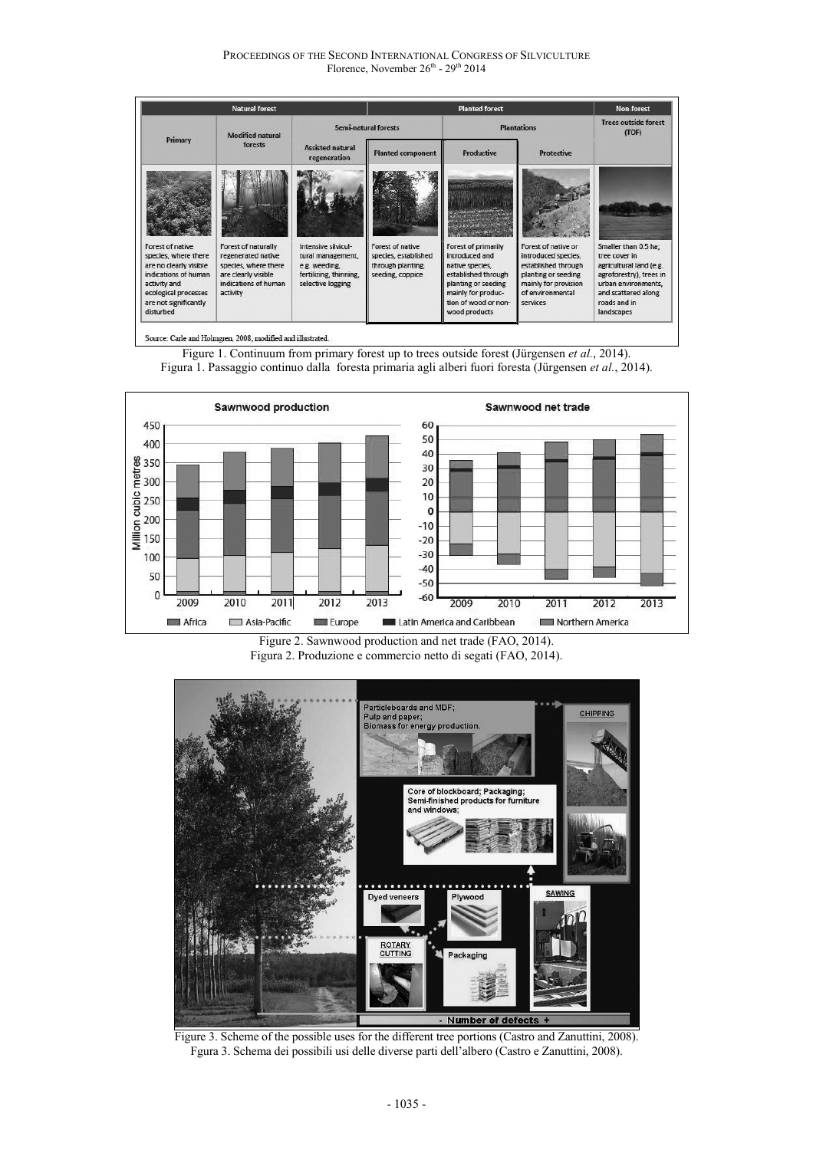PROCEEDINGS OF THE SECOND INTERNATIONAL CONGRESS OF SILVICULTURE Florence, November 26<sup>th</sup> - 29<sup>th</sup> 2014

| <b>Natural forest</b>                                                                                      |                                                                                                                  |                                                                                                          | <b>Planted forest</b>                                                             |                                                                                                        |                                                                                                                  | Non-forest                                                                                                         |
|------------------------------------------------------------------------------------------------------------|------------------------------------------------------------------------------------------------------------------|----------------------------------------------------------------------------------------------------------|-----------------------------------------------------------------------------------|--------------------------------------------------------------------------------------------------------|------------------------------------------------------------------------------------------------------------------|--------------------------------------------------------------------------------------------------------------------|
| Primary                                                                                                    | <b>Modified natural</b><br>forests                                                                               | Semi-natural forests                                                                                     |                                                                                   | <b>Plantations</b>                                                                                     |                                                                                                                  | <b>Trees outside forest</b><br>(TOF)                                                                               |
|                                                                                                            |                                                                                                                  | <b>Assisted natural</b><br>regeneration                                                                  | <b>Planted component</b>                                                          | <b>Productive</b>                                                                                      | <b>Protective</b>                                                                                                |                                                                                                                    |
| Forest of native<br>species, where there<br>are no clearly visible<br>indications of human<br>activity and | Forest of naturally<br>regenerated native<br>species, where there<br>are clearly visible<br>indications of human | Intensive silvicul-<br>tural management,<br>e.g. weeding,<br>fertilizing, thinning,<br>selective logging | Forest of native<br>species, established<br>through planting,<br>seeding, coppice | Forest of primarily<br>introduced and<br>native species,<br>established through<br>planting or seeding | Forest of native or<br>introduced species,<br>established through<br>planting or seeding<br>mainly for provision | Smaller than 0.5 ha;<br>tree cover in<br>agricultural land (e.g.<br>agroforestry), trees in<br>urban environments, |
| ecological processes<br>are not significantly<br>disturbed                                                 | activity                                                                                                         |                                                                                                          |                                                                                   | mainly for produc-<br>tion of wood or non-<br>wood products                                            | of environmental<br>services                                                                                     | and scattered along<br>roads and in<br>landscapes                                                                  |



Figure 1. Continuum from primary forest up to trees outside forest (Jürgensen *et al.*, 2014). Figura 1. Passaggio continuo dalla foresta primaria agli alberi fuori foresta (Jürgensen *et al.*, 2014).



Figure 2. Sawnwood production and net trade (FAO, 2014). Figura 2. Produzione e commercio netto di segati (FAO, 2014).



Figure 3. Scheme of the possible uses for the different tree portions (Castro and Zanuttini, 2008). Fgura 3. Schema dei possibili usi delle diverse parti dell'albero (Castro e Zanuttini, 2008).